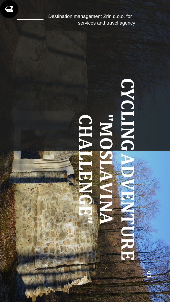

Destination management Zrin d.o.o. for services and travel agency

 $\leftrightarrow$